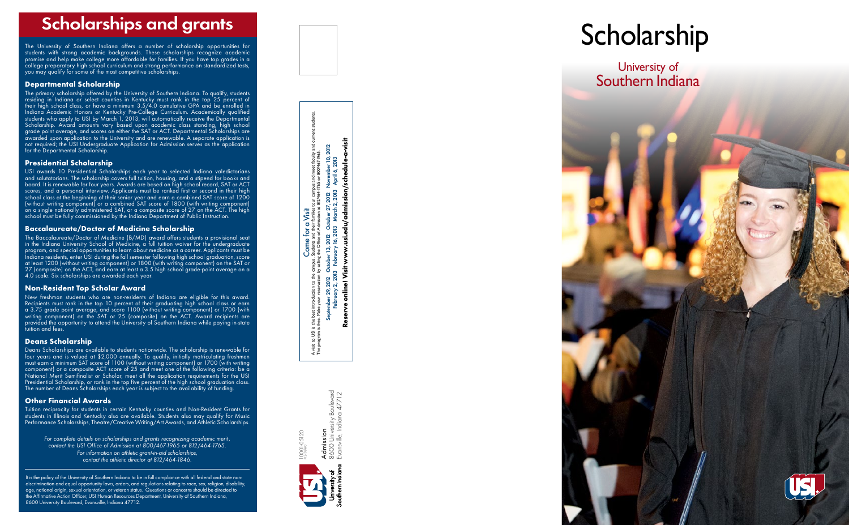# Scholarship s an d grants

The University of Southern Indiana offers a number of scholarship opportunities for students with strong academic backgrounds. These scholarships recognize academic promise and help make college more affordable for families. If you have top grades in a college preparatory high school curriculum and strong performance on standardized tests, you may qualify for some of the most competitive scholarships.

*For complete details on scholarships and grants recognizing academic merit, contact the USI Office of Admission at 800/467-1965 or 812/464-1765. For information on athletic grant-in-aid scholarships, contact the athletic director at 812/464-1846.*

The primary scholarship offered by the University of Southern Indiana. To qualify, students residing in Indiana or select counties in Kentucky must rank in the top 25 percent of their high school class, or have a minimum 3.5/4.0 cumulative GPA and be enrolled in Indiana Academic Honors or Kentucky Pre-College Curriculum. Academically qualified students who apply to USI by March 1, 2013, will automatically receive the Departmental Scholarship. Award amounts vary based upon academic class standing, high school grade point average, and scores on either the SAT or ACT. Departmental Scholarships are awarded upon application to the University and are renewable. A separate application is not required; the USI Undergraduate Application for Admission serves as the application for the Departmental Scholarship.

### **Departmental Scholarship**

## **Presidential Scholarship**

USI awards 10 Presidential Scholarships each year to selected Indiana valedictorians and salutatorians. The scholarship covers full tuition, housing, and a stipend for books and board. It is renewable for four years. Awards are based on high school record, SAT or ACT scores, and a personal interview. Applicants must be ranked first or second in their high school class at the beginning of their senior year and earn a combined SAT score of 1200 (without writing component) or a combined SAT score of 1800 (with writing component) on a single nationally administered SAT, or a composite score of 27 on the ACT. The high school must be fully commissioned by the Indiana Department of Public Instruction.

A visit to USI is the best introduction to the campus. Students and their families tour campus and meet faculty and current students. www.usi.edu/admission/schedule-a-visit inroduction to the campus. Students and their families tour campus and meet faculty and<br>e your reservation by calling the Office of Admission at 812/464-1765 or 800/467-1965.<br>smber 29, 2012 October 13, 2012 October 27, 201 September 29, 2012 October 13, 2012 October 27, 2012 November 10, 2012 The program is free. Make your reservation by calling the Office of Admission at 812/464-1765 or 800/467-1965. February 2, 2013 February 16, 2013 March 2, 2013 April 6, 2013 **Come for a Visit**<br>
stadents and their families to<br>
g the Office of Admission at 8 Come for a Visit online! Visit the best introduction to the<br>free. Make your reservation Septer to USI is 1<br>ogram is f

## **Baccalaureate/Doctor of Medicine Scholarship**

rsity Boulevard<br>Iolana 47712 8600 University Boulevard Evansville, Indiana 47712 Admission<br>8600 Univer 10001-05120 Admission

The Baccalaureate/Doctor of Medicine (B/MD) award offers students a provisional seat in the Indiana University School of Medicine, a full tuition waiver for the undergraduate program, and special opportunities to learn about medicine as a career. Applicants must be Indiana residents, enter USI during the fall semester following high school graduation, score at least 1200 (without writing component) or 1800 (with writing component) on the SAT or 27 (composite) on the ACT, and earn at least a 3.5 high school grade-point average on a 4.0 scale. Six scholarships are awarded each year.

University of Southern Indiana



## **Non-Resident Top Scholar Award**

New freshman students who are non-residents of Indiana are eligible for this award. Recipients must rank in the top 10 percent of their graduating high school class or earn a 3.75 grade point average, and score 1100 (without writing component) or 1700 (with writing component) on the SAT or 25 (composite) on the ACT. Award recipients are provided the opportunity to attend the University of Southern Indiana while paying in-state tuition and fees .

## **Deans Scholarship**

Deans Scholarships are available to students nationwide. The scholarship is renewable for four years and is valued at \$2,000 annually. To qualify, initially matriculating freshmen must earn a minimum SAT score of 1100 (without writing component) or 1700 (with writing  $\overline{\text{component}}$  or a composite ACT score of 25 and meet one of the following criteria: be a National Merit Semifinalist or Scholar, meet all the application requirements for the USI Presidential Scholarship, or rank in the top five percent of the high school graduation class. The number of Deans Scholarships each year is subject to the availability of funding.

## **Other Financial Awards**

Tuition reciprocity for students in certain Kentucky counties and Non-Resident Grants for students in Illinois and Kentucky also are available. Students also may qualify for Music Performance Scholarships, Theatre/Creative Writing/Art Awards, and Athletic Scholarships.

**Reserve online! Visit www.usi.edu/admission/schedule-a-visit**

eserve

10001-05120 P12-103880



# **Scholarship**

It is the policy of the University of Southern Indiana to be in full compliance with all federal and state nondiscrimination and equal opportunity laws, orders, and regulations relating to race, sex, religion, disability, age, national origin, sexual orientation, or veteran status. Questions or concerns should be directed to the Affirmative Action Officer, USI Human Resources Department, University of Southern Indiana, 8600 University Boulevard, Evansville, Indiana 47712.